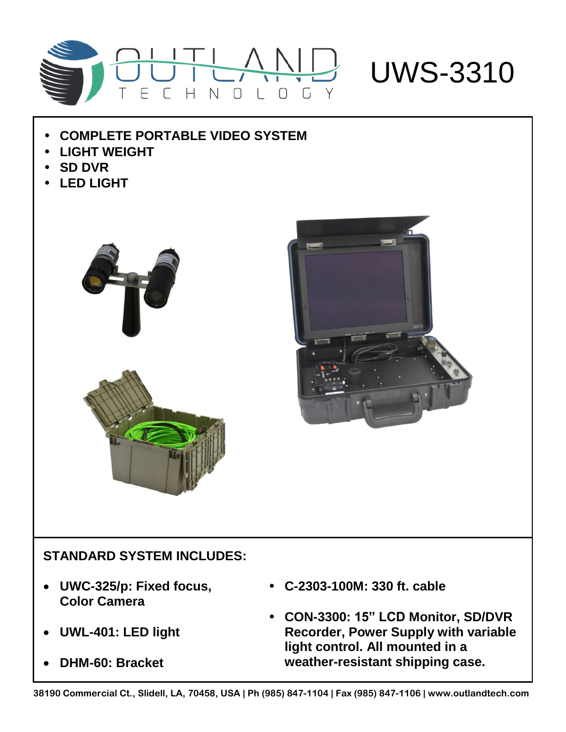

- **COMPLETE PORTABLE VIDEO SYSTEM**
- **LIGHT WEIGHT**
- **SD DVR**
- **LED LIGHT**





## **STANDARD SYSTEM INCLUDES:**

- **UWC-325/p: Fixed focus, Color Camera**
- **UWL-401: LED light**
- **DHM-60: Bracket**
- **C-2303-100M: 330 ft. cable**
- **CON-3300: 15" LCD Monitor, SD/DVR Recorder, Power Supply with variable light control. All mounted in a weather-resistant shipping case.**